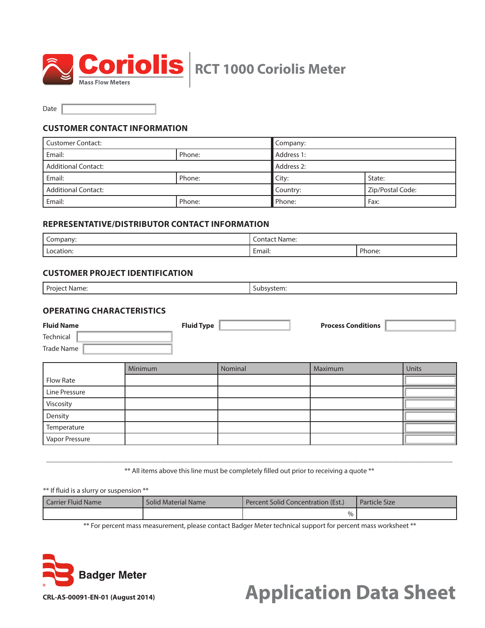

Date

## **CUSTOMER CONTACT INFORMATION**

| l Customer Contact: |        | Company:        |                  |  |
|---------------------|--------|-----------------|------------------|--|
| Email:              | Phone: | Address 1:      |                  |  |
| Additional Contact: |        | Address 2:      |                  |  |
| Email:              | Phone: | City:<br>State: |                  |  |
| Additional Contact: |        | Country:        | Zip/Postal Code: |  |
| l Email:            | Phone: | Phone:          | Fax:             |  |

## **REPRESENTATIVE/DISTRIBUTOR CONTACT INFORMATION**

| Company:      | -<br>$\sim$<br>t Name:<br>Contacl                                         |        |  |
|---------------|---------------------------------------------------------------------------|--------|--|
| ocation:<br>. | $\overline{\phantom{0}}$<br>Email:<br>the contract of the contract of the | Phone: |  |

## **CUSTOMER PROJECT IDENTIFICATION**

| Project<br><sup>.</sup> Name: | . . <i>. .</i><br>,,,,<br>ווואני: |
|-------------------------------|-----------------------------------|
|                               |                                   |

# **OPERATING CHARACTERISTICS**

| <b>Fluid Name</b> | <b>Fluid Type</b> | <b>Process Conditions</b> |  |
|-------------------|-------------------|---------------------------|--|
| Technical         |                   |                           |  |
| Trade Name        |                   |                           |  |
|                   |                   |                           |  |

|                | Minimum | Nominal | Maximum | Units |
|----------------|---------|---------|---------|-------|
| Flow Rate      |         |         |         |       |
| Line Pressure  |         |         |         |       |
| Viscosity      |         |         |         |       |
| Density        |         |         |         |       |
| Temperature    |         |         |         |       |
| Vapor Pressure |         |         |         |       |

\_\_\_\_\_\_\_\_\_\_\_\_\_\_\_\_\_\_\_\_\_\_\_\_\_\_\_\_\_\_\_\_\_\_\_\_\_\_\_\_\_\_\_\_\_\_\_\_\_\_\_\_\_\_\_\_\_\_\_\_\_\_\_\_\_\_\_\_\_\_\_\_\_\_\_\_\_\_\_\_\_\_\_\_\_\_\_\_\_\_\_\_\_\_\_\_\_\_\_\_\_\_\_\_\_\_\_\_\_\_\_\_\_\_ \*\* All items above this line must be completely filled out prior to receiving a quote \*\*

\*\* If fluid is a slurry or suspension \*\*

| Carrier Fluid Name | <b>Solid Material Name</b> | Percent Solid Concentration (Est.) | <b>Particle Size</b> |
|--------------------|----------------------------|------------------------------------|----------------------|
|                    |                            | %                                  |                      |

\*\* For percent mass measurement, please contact Badger Meter technical support for percent mass worksheet \*\*



# **Application Data Sheet**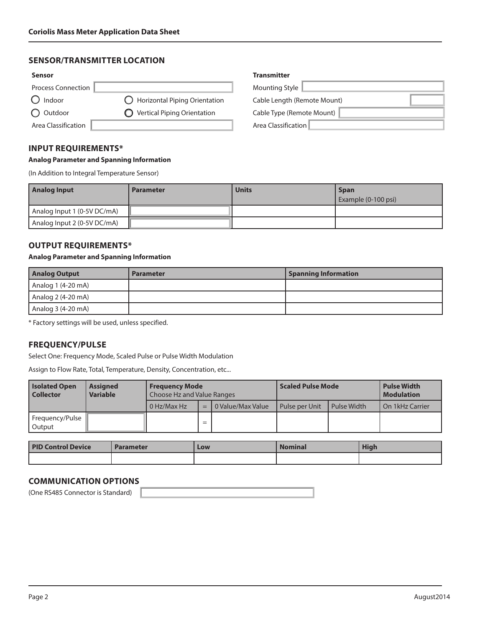## **SENSOR/TRANSMITTER LOCATION**

| <b>Sensor</b>       |                                           | <b>Transmitter</b>          |
|---------------------|-------------------------------------------|-----------------------------|
| Process Connection  |                                           | Mounting Style              |
| Indoor              | $\bigcirc$ Horizontal Piping Orientation  | Cable Length (Remote Mount) |
| Outdoor             | <b>Vertical Piping Orientation</b><br>C). | Cable Type (Remote Mount)   |
| Area Classification |                                           | Area Classification         |

#### **INPUT REQUIREMENTS\***

#### **Analog Parameter and Spanning Information**

(In Addition to Integral Temperature Sensor)

| Mounting Style              |  |
|-----------------------------|--|
| Cable Length (Remote Mount) |  |
| Cable Type (Remote Mount)   |  |
| Area Classification         |  |

| <b>Analog Input</b>         | <b>Parameter</b> | <b>Units</b> | <b>Span</b>         |
|-----------------------------|------------------|--------------|---------------------|
|                             |                  |              | Example (0-100 psi) |
| Analog Input 1 (0-5V DC/mA) |                  |              |                     |
| Analog Input 2 (0-5V DC/mA) |                  |              |                     |

## **OUTPUT REQUIREMENTS\***

#### **Analog Parameter and Spanning Information**

| <b>Analog Output</b> | <b>Parameter</b> | <b>Spanning Information</b> |
|----------------------|------------------|-----------------------------|
| Analog 1 (4-20 mA)   |                  |                             |
| Analog 2 (4-20 mA)   |                  |                             |
| Analog 3 (4-20 mA)   |                  |                             |

\* Factory settings will be used, unless specified.

# **FREQUENCY/PULSE**

Select One: Frequency Mode, Scaled Pulse or Pulse Width Modulation

Assign to Flow Rate, Total, Temperature, Density, Concentration, etc...

| <b>Isolated Open</b><br><b>Collector</b> | <b>Assigned</b><br><b>Variable</b> | <b>Freguency Mode</b><br>Choose Hz and Value Ranges |       | <b>Scaled Pulse Mode</b> |                | <b>Pulse Width</b><br><b>Modulation</b> |                 |
|------------------------------------------|------------------------------------|-----------------------------------------------------|-------|--------------------------|----------------|-----------------------------------------|-----------------|
|                                          |                                    | 0 Hz/Max Hz                                         | $=$ 1 | l 0 Value/Max Value      | Pulse per Unit | Pulse Width                             | On 1kHz Carrier |
| Frequency/Pulse<br>Output                |                                    |                                                     | $=$   |                          |                |                                         |                 |

| <b>PID Control Device</b> | <b>Parameter</b> | Low | <b>Nominal</b> | <b>High</b> |
|---------------------------|------------------|-----|----------------|-------------|
|                           |                  |     |                |             |

# **COMMUNICATION OPTIONS**

(One RS485 Connector is Standard)